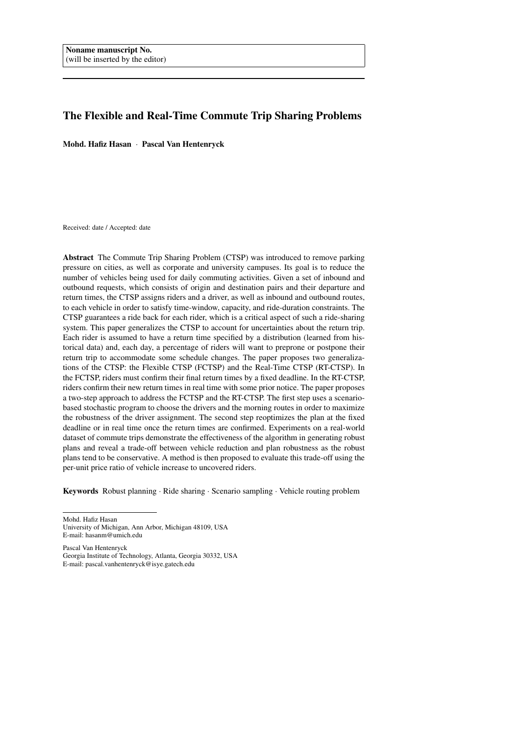# The Flexible and Real-Time Commute Trip Sharing Problems

Mohd. Hafiz Hasan · Pascal Van Hentenryck

Received: date / Accepted: date

Abstract The Commute Trip Sharing Problem (CTSP) was introduced to remove parking pressure on cities, as well as corporate and university campuses. Its goal is to reduce the number of vehicles being used for daily commuting activities. Given a set of inbound and outbound requests, which consists of origin and destination pairs and their departure and return times, the CTSP assigns riders and a driver, as well as inbound and outbound routes, to each vehicle in order to satisfy time-window, capacity, and ride-duration constraints. The CTSP guarantees a ride back for each rider, which is a critical aspect of such a ride-sharing system. This paper generalizes the CTSP to account for uncertainties about the return trip. Each rider is assumed to have a return time specified by a distribution (learned from historical data) and, each day, a percentage of riders will want to preprone or postpone their return trip to accommodate some schedule changes. The paper proposes two generalizations of the CTSP: the Flexible CTSP (FCTSP) and the Real-Time CTSP (RT-CTSP). In the FCTSP, riders must confirm their final return times by a fixed deadline. In the RT-CTSP, riders confirm their new return times in real time with some prior notice. The paper proposes a two-step approach to address the FCTSP and the RT-CTSP. The first step uses a scenariobased stochastic program to choose the drivers and the morning routes in order to maximize the robustness of the driver assignment. The second step reoptimizes the plan at the fixed deadline or in real time once the return times are confirmed. Experiments on a real-world dataset of commute trips demonstrate the effectiveness of the algorithm in generating robust plans and reveal a trade-off between vehicle reduction and plan robustness as the robust plans tend to be conservative. A method is then proposed to evaluate this trade-off using the per-unit price ratio of vehicle increase to uncovered riders.

Keywords Robust planning · Ride sharing · Scenario sampling · Vehicle routing problem

University of Michigan, Ann Arbor, Michigan 48109, USA E-mail: hasanm@umich.edu

Pascal Van Hentenryck

Mohd. Hafiz Hasan

Georgia Institute of Technology, Atlanta, Georgia 30332, USA E-mail: pascal.vanhentenryck@isye.gatech.edu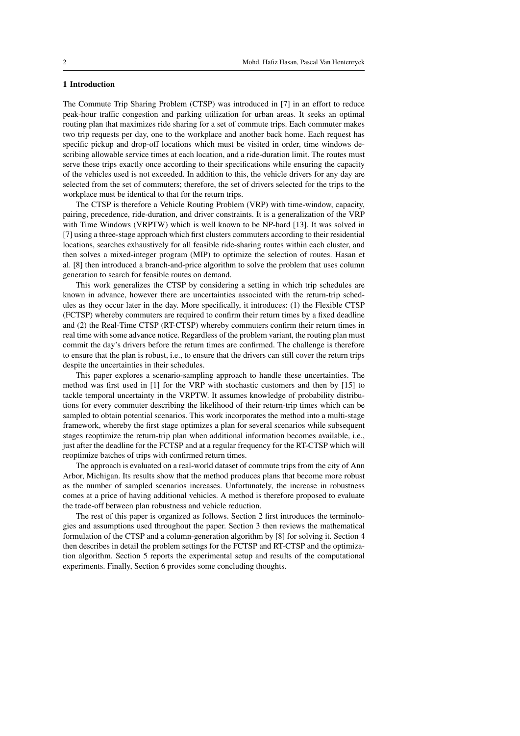### 1 Introduction

The Commute Trip Sharing Problem (CTSP) was introduced in [7] in an effort to reduce peak-hour traffic congestion and parking utilization for urban areas. It seeks an optimal routing plan that maximizes ride sharing for a set of commute trips. Each commuter makes two trip requests per day, one to the workplace and another back home. Each request has specific pickup and drop-off locations which must be visited in order, time windows describing allowable service times at each location, and a ride-duration limit. The routes must serve these trips exactly once according to their specifications while ensuring the capacity of the vehicles used is not exceeded. In addition to this, the vehicle drivers for any day are selected from the set of commuters; therefore, the set of drivers selected for the trips to the workplace must be identical to that for the return trips.

The CTSP is therefore a Vehicle Routing Problem (VRP) with time-window, capacity, pairing, precedence, ride-duration, and driver constraints. It is a generalization of the VRP with Time Windows (VRPTW) which is well known to be NP-hard [13]. It was solved in [7] using a three-stage approach which first clusters commuters according to their residential locations, searches exhaustively for all feasible ride-sharing routes within each cluster, and then solves a mixed-integer program (MIP) to optimize the selection of routes. Hasan et al. [8] then introduced a branch-and-price algorithm to solve the problem that uses column generation to search for feasible routes on demand.

This work generalizes the CTSP by considering a setting in which trip schedules are known in advance, however there are uncertainties associated with the return-trip schedules as they occur later in the day. More specifically, it introduces: (1) the Flexible CTSP (FCTSP) whereby commuters are required to confirm their return times by a fixed deadline and (2) the Real-Time CTSP (RT-CTSP) whereby commuters confirm their return times in real time with some advance notice. Regardless of the problem variant, the routing plan must commit the day's drivers before the return times are confirmed. The challenge is therefore to ensure that the plan is robust, i.e., to ensure that the drivers can still cover the return trips despite the uncertainties in their schedules.

This paper explores a scenario-sampling approach to handle these uncertainties. The method was first used in [1] for the VRP with stochastic customers and then by [15] to tackle temporal uncertainty in the VRPTW. It assumes knowledge of probability distributions for every commuter describing the likelihood of their return-trip times which can be sampled to obtain potential scenarios. This work incorporates the method into a multi-stage framework, whereby the first stage optimizes a plan for several scenarios while subsequent stages reoptimize the return-trip plan when additional information becomes available, i.e., just after the deadline for the FCTSP and at a regular frequency for the RT-CTSP which will reoptimize batches of trips with confirmed return times.

The approach is evaluated on a real-world dataset of commute trips from the city of Ann Arbor, Michigan. Its results show that the method produces plans that become more robust as the number of sampled scenarios increases. Unfortunately, the increase in robustness comes at a price of having additional vehicles. A method is therefore proposed to evaluate the trade-off between plan robustness and vehicle reduction.

The rest of this paper is organized as follows. Section 2 first introduces the terminologies and assumptions used throughout the paper. Section 3 then reviews the mathematical formulation of the CTSP and a column-generation algorithm by [8] for solving it. Section 4 then describes in detail the problem settings for the FCTSP and RT-CTSP and the optimization algorithm. Section 5 reports the experimental setup and results of the computational experiments. Finally, Section 6 provides some concluding thoughts.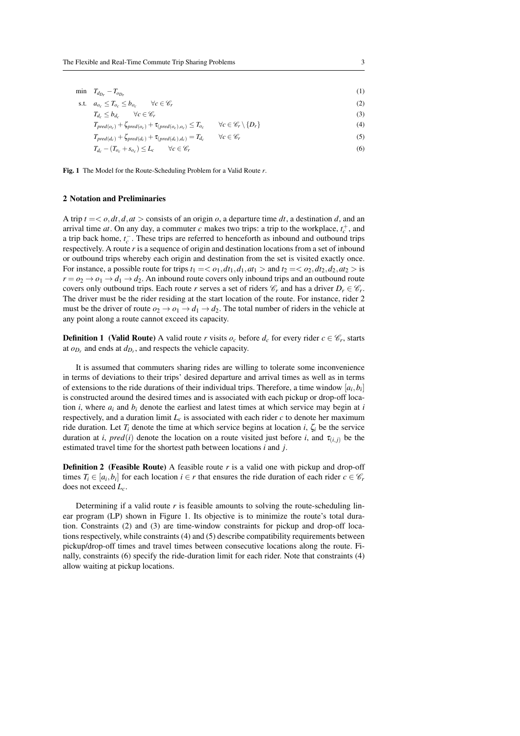| min $T_{d_{Dr}} - T_{o_{Dr}}$                                              |                                                 | (1) |
|----------------------------------------------------------------------------|-------------------------------------------------|-----|
| s.t. $a_{o_c} \leq T_{o_c} \leq b_{o_c}$ $\forall c \in \mathscr{C}_r$     |                                                 | (2) |
| $T_{d_c} \leq b_{d_c}$ $\forall c \in \mathscr{C}_r$                       |                                                 | (3) |
| $T_{pred(o_c)} + \zeta_{pred(o_c)} + \tau_{(pred(o_c), o_c)} \leq T_{o_c}$ | $\forall c \in \mathscr{C}_r \setminus \{D_r\}$ | (4) |
| $T_{pred(d_c)} + \zeta_{pred(d_c)} + \tau_{(pred(d_c), d_c)} = T_{d_c}$    | $\forall c \in \mathscr{C}_r$                   | (5) |
| $T_{d_c} - (T_{o_c} + s_{o_c}) \leq L_c$<br>$\forall c \in \mathscr{C}_r$  |                                                 | (6) |

Fig. 1 The Model for the Route-Scheduling Problem for a Valid Route *r*.

#### 2 Notation and Preliminaries

A trip  $t = < o, dt, d, at >$  consists of an origin *o*, a departure time *dt*, a destination *d*, and an arrival time *at*. On any day, a commuter *c* makes two trips: a trip to the workplace,  $t_c^+$ , and a trip back home,  $t_c^-$ . These trips are referred to henceforth as inbound and outbound trips respectively. A route *r* is a sequence of origin and destination locations from a set of inbound or outbound trips whereby each origin and destination from the set is visited exactly once. For instance, a possible route for trips  $t_1 = \langle o_1, dt_1, d_1, at_1 \rangle$  and  $t_2 = \langle o_2, dt_2, d_2, at_2 \rangle$  is  $r = o_2 \rightarrow o_1 \rightarrow d_1 \rightarrow d_2$ . An inbound route covers only inbound trips and an outbound route covers only outbound trips. Each route *r* serves a set of riders  $\mathcal{C}_r$  and has a driver  $D_r \in \mathcal{C}_r$ . The driver must be the rider residing at the start location of the route. For instance, rider 2 must be the driver of route  $o_2 \rightarrow o_1 \rightarrow d_1 \rightarrow d_2$ . The total number of riders in the vehicle at any point along a route cannot exceed its capacity.

**Definition 1** (Valid Route) A valid route *r* visits  $o_c$  before  $d_c$  for every rider  $c \in \mathcal{C}_r$ , starts at  $o_{D_r}$  and ends at  $d_{D_r}$ , and respects the vehicle capacity.

It is assumed that commuters sharing rides are willing to tolerate some inconvenience in terms of deviations to their trips' desired departure and arrival times as well as in terms of extensions to the ride durations of their individual trips. Therefore, a time window  $[a_i, b_i]$ is constructed around the desired times and is associated with each pickup or drop-off location *i*, where  $a_i$  and  $b_i$  denote the earliest and latest times at which service may begin at *i* respectively, and a duration limit  $L_c$  is associated with each rider  $c$  to denote her maximum ride duration. Let  $T_i$  denote the time at which service begins at location *i*,  $\zeta_i$  be the service duration at *i*,  $pred(i)$  denote the location on a route visited just before *i*, and  $\tau_{(i,i)}$  be the estimated travel time for the shortest path between locations *i* and *j*.

**Definition 2** (Feasible Route) A feasible route *r* is a valid one with pickup and drop-off times  $T_i \in [a_i, b_i]$  for each location  $i \in r$  that ensures the ride duration of each rider  $c \in \mathcal{C}_r$ does not exceed *Lc*.

Determining if a valid route  $r$  is feasible amounts to solving the route-scheduling linear program (LP) shown in Figure 1. Its objective is to minimize the route's total duration. Constraints (2) and (3) are time-window constraints for pickup and drop-off locations respectively, while constraints (4) and (5) describe compatibility requirements between pickup/drop-off times and travel times between consecutive locations along the route. Finally, constraints (6) specify the ride-duration limit for each rider. Note that constraints (4) allow waiting at pickup locations.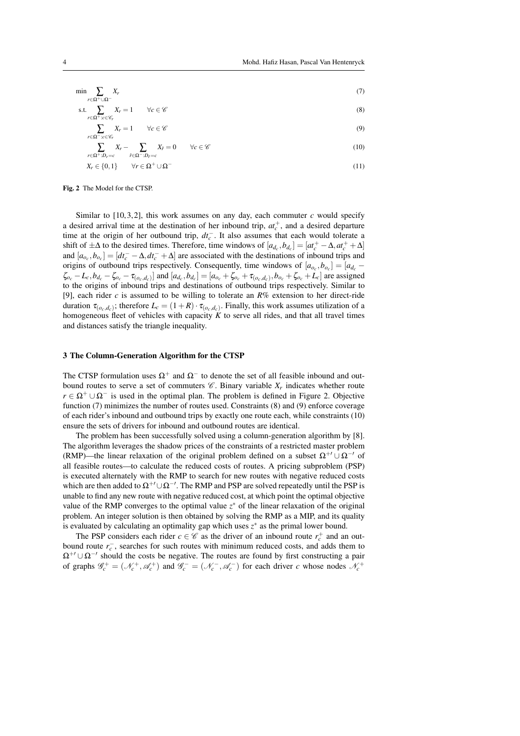$$
\min \sum_{r \in \Omega^+ \cup \Omega^-} X_r \tag{7}
$$

$$
\text{s.t.} \quad \sum_{r} X_r = 1 \qquad \forall c \in \mathscr{C} \tag{8}
$$

$$
\sum_{r \in \Omega^+ : c \in \mathscr{C}_r} X_r = 1 \qquad \forall c \in \mathscr{C}
$$
\n(9)

$$
\sum_{r \in \Omega^+ : D_r = c}^{r \in \Omega^- : c \in \mathscr{C}_r} X_r - \sum_{\hat{r} \in \Omega^- : D_{\hat{r}} = c} X_{\hat{r}} = 0 \qquad \forall c \in \mathscr{C}
$$
\n(10)

$$
X_r \in \{0, 1\} \qquad \forall r \in \Omega^+ \cup \Omega^- \tag{11}
$$

Fig. 2 The Model for the CTSP.

Similar to  $[10, 3, 2]$ , this work assumes on any day, each commuter  $c$  would specify a desired arrival time at the destination of her inbound trip,  $at_c^+$ , and a desired departure time at the origin of her outbound trip, *dt*<sup>−</sup> *c* . It also assumes that each would tolerate a shift of  $\pm \Delta$  to the desired times. Therefore, time windows of  $[a_{d_c}, b_{d_c}] = [at_c^+ - \Delta, at_c^+ + \Delta]$ and  $[a_{o_c}, b_{o_c}] = [dt_c^- - \Delta, dt_c^- + \Delta]$  are associated with the destinations of inbound trips and origins of outbound trips respectively. Consequently, time windows of  $[a_{o_c}, b_{o_c}] = [a_{d_c} - a_{o_c}]$  $\zeta_{o_c} - L_c, b_{d_c} - \zeta_{o_c} - \tau_{(o_c, d_c)}$  and  $[a_{d_c}, b_{d_c}] = [a_{o_c} + \zeta_{o_c} + \tau_{(o_c, d_c)}, b_{o_c} + \zeta_{o_c} + L_c]$  are assigned to the origins of inbound trips and destinations of outbound trips respectively. Similar to [9], each rider *c* is assumed to be willing to tolerate an *R*% extension to her direct-ride duration  $\tau_{(o_c,d_c)}$ ; therefore  $L_c = (1+R) \cdot \tau_{(o_c,d_c)}$ . Finally, this work assumes utilization of a homogeneous fleet of vehicles with capacity *K* to serve all rides, and that all travel times and distances satisfy the triangle inequality.

#### 3 The Column-Generation Algorithm for the CTSP

The CTSP formulation uses  $\Omega^+$  and  $\Omega^-$  to denote the set of all feasible inbound and outbound routes to serve a set of commuters  $\mathcal{C}$ . Binary variable  $X_r$  indicates whether route  $r \in \Omega^+ \cup \Omega^-$  is used in the optimal plan. The problem is defined in Figure 2. Objective function (7) minimizes the number of routes used. Constraints (8) and (9) enforce coverage of each rider's inbound and outbound trips by exactly one route each, while constraints (10) ensure the sets of drivers for inbound and outbound routes are identical.

The problem has been successfully solved using a column-generation algorithm by [8]. The algorithm leverages the shadow prices of the constraints of a restricted master problem (RMP)—the linear relaxation of the original problem defined on a subset  $\Omega^{+} \cup \Omega^{-}$  of all feasible routes—to calculate the reduced costs of routes. A pricing subproblem (PSP) is executed alternately with the RMP to search for new routes with negative reduced costs which are then added to  $\Omega^{+}\cup \Omega^{-1}$ . The RMP and PSP are solved repeatedly until the PSP is unable to find any new route with negative reduced cost, at which point the optimal objective value of the RMP converges to the optimal value *z* <sup>∗</sup> of the linear relaxation of the original problem. An integer solution is then obtained by solving the RMP as a MIP, and its quality is evaluated by calculating an optimality gap which uses  $z^*$  as the primal lower bound.

The PSP considers each rider  $c \in \mathcal{C}$  as the driver of an inbound route  $r_c^+$  and an outbound route  $r_c^-$ , searches for such routes with minimum reduced costs, and adds them to  $\Omega^{+}\cup \Omega^{-}\Omega$  should the costs be negative. The routes are found by first constructing a pair of graphs  $\mathscr{G}_c^+ = (\mathcal{N}_c^+, \mathscr{A}_c^+)$  and  $\mathscr{G}_c^- = (\mathcal{N}_c^-, \mathscr{A}_c^-)$  for each driver *c* whose nodes  $\mathcal{N}_c^+$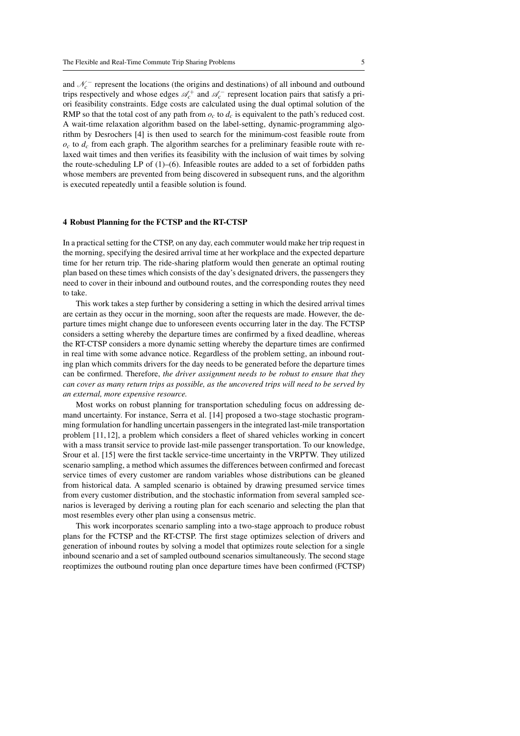and  $\mathcal{N}_c^-$  represent the locations (the origins and destinations) of all inbound and outbound trips respectively and whose edges  $\mathcal{A}_c^+$  and  $\mathcal{A}_c^-$  represent location pairs that satisfy a priori feasibility constraints. Edge costs are calculated using the dual optimal solution of the RMP so that the total cost of any path from  $\rho_c$  to  $d_c$  is equivalent to the path's reduced cost. A wait-time relaxation algorithm based on the label-setting, dynamic-programming algorithm by Desrochers [4] is then used to search for the minimum-cost feasible route from  $o_c$  to  $d_c$  from each graph. The algorithm searches for a preliminary feasible route with relaxed wait times and then verifies its feasibility with the inclusion of wait times by solving the route-scheduling LP of (1)–(6). Infeasible routes are added to a set of forbidden paths whose members are prevented from being discovered in subsequent runs, and the algorithm is executed repeatedly until a feasible solution is found.

#### 4 Robust Planning for the FCTSP and the RT-CTSP

In a practical setting for the CTSP, on any day, each commuter would make her trip request in the morning, specifying the desired arrival time at her workplace and the expected departure time for her return trip. The ride-sharing platform would then generate an optimal routing plan based on these times which consists of the day's designated drivers, the passengers they need to cover in their inbound and outbound routes, and the corresponding routes they need to take.

This work takes a step further by considering a setting in which the desired arrival times are certain as they occur in the morning, soon after the requests are made. However, the departure times might change due to unforeseen events occurring later in the day. The FCTSP considers a setting whereby the departure times are confirmed by a fixed deadline, whereas the RT-CTSP considers a more dynamic setting whereby the departure times are confirmed in real time with some advance notice. Regardless of the problem setting, an inbound routing plan which commits drivers for the day needs to be generated before the departure times can be confirmed. Therefore, *the driver assignment needs to be robust to ensure that they can cover as many return trips as possible, as the uncovered trips will need to be served by an external, more expensive resource.*

Most works on robust planning for transportation scheduling focus on addressing demand uncertainty. For instance, Serra et al. [14] proposed a two-stage stochastic programming formulation for handling uncertain passengers in the integrated last-mile transportation problem [11, 12], a problem which considers a fleet of shared vehicles working in concert with a mass transit service to provide last-mile passenger transportation. To our knowledge, Srour et al. [15] were the first tackle service-time uncertainty in the VRPTW. They utilized scenario sampling, a method which assumes the differences between confirmed and forecast service times of every customer are random variables whose distributions can be gleaned from historical data. A sampled scenario is obtained by drawing presumed service times from every customer distribution, and the stochastic information from several sampled scenarios is leveraged by deriving a routing plan for each scenario and selecting the plan that most resembles every other plan using a consensus metric.

This work incorporates scenario sampling into a two-stage approach to produce robust plans for the FCTSP and the RT-CTSP. The first stage optimizes selection of drivers and generation of inbound routes by solving a model that optimizes route selection for a single inbound scenario and a set of sampled outbound scenarios simultaneously. The second stage reoptimizes the outbound routing plan once departure times have been confirmed (FCTSP)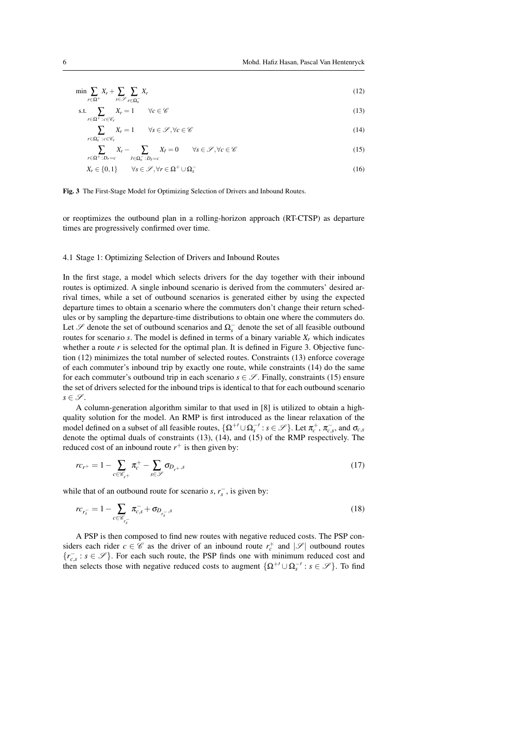$$
\min \sum_{r \in \Omega^+} X_r + \sum_{s \in \mathcal{S}} \sum_{r \in \Omega_s^-} X_r \tag{12}
$$

$$
\text{s.t.} \quad \sum_{r} X_r = 1 \qquad \forall c \in \mathscr{C} \tag{13}
$$

$$
\sum_{r \in \Omega_s^- : c \in \mathscr{C}_r} X_r = 1 \qquad \forall s \in \mathscr{S}, \forall c \in \mathscr{C}
$$
\n
$$
(14)
$$

$$
\sum_{r \in \Omega^+ : D_r = c} X_r - \sum_{\hat{r} \in \Omega^-_s : D_{\hat{r}} = c} X_{\hat{r}} = 0 \qquad \forall s \in \mathcal{S}, \forall c \in \mathcal{C}
$$
\n
$$
(15)
$$

$$
X_r \in \{0, 1\} \qquad \forall s \in \mathcal{S}, \forall r \in \Omega^+ \cup \Omega_s^- \tag{16}
$$

Fig. 3 The First-Stage Model for Optimizing Selection of Drivers and Inbound Routes.

or reoptimizes the outbound plan in a rolling-horizon approach (RT-CTSP) as departure times are progressively confirmed over time.

#### 4.1 Stage 1: Optimizing Selection of Drivers and Inbound Routes

In the first stage, a model which selects drivers for the day together with their inbound routes is optimized. A single inbound scenario is derived from the commuters' desired arrival times, while a set of outbound scenarios is generated either by using the expected departure times to obtain a scenario where the commuters don't change their return schedules or by sampling the departure-time distributions to obtain one where the commuters do. Let  $\mathscr S$  denote the set of outbound scenarios and  $\Omega_s^-$  denote the set of all feasible outbound routes for scenario *s*. The model is defined in terms of a binary variable  $X_r$  which indicates whether a route *r* is selected for the optimal plan. It is defined in Figure 3. Objective function (12) minimizes the total number of selected routes. Constraints (13) enforce coverage of each commuter's inbound trip by exactly one route, while constraints (14) do the same for each commuter's outbound trip in each scenario  $s \in \mathscr{S}$ . Finally, constraints (15) ensure the set of drivers selected for the inbound trips is identical to that for each outbound scenario  $s \in \mathscr{S}$ .

A column-generation algorithm similar to that used in [8] is utilized to obtain a highquality solution for the model. An RMP is first introduced as the linear relaxation of the model defined on a subset of all feasible routes,  $\{\Omega^{+/-} \cup \Omega_s^{-/-} : s \in \mathcal{S}\}\)$ . Let  $\pi_c^+, \pi_{c,s}^-$ , and  $\sigma_{c,s}$ denote the optimal duals of constraints (13), (14), and (15) of the RMP respectively. The reduced cost of an inbound route  $r^+$  is then given by:

$$
rc_{r+} = 1 - \sum_{c \in \mathscr{C}_{r+}} \pi_c^+ - \sum_{s \in \mathscr{S}} \sigma_{D_{r+},s} \tag{17}
$$

while that of an outbound route for scenario *s*,  $r_s^-$ , is given by:

$$
rc_{r_s^-} = 1 - \sum_{c \in \mathscr{C}_{r_s^-}} \pi_{c,s}^- + \sigma_{D_{r_s^-},s} \tag{18}
$$

A PSP is then composed to find new routes with negative reduced costs. The PSP considers each rider  $c \in \mathscr{C}$  as the driver of an inbound route  $r_c^+$  and  $|\mathscr{S}|$  outbound routes  ${r_{c,s}^{\text{-}} : s \in \mathscr{S}}$ . For each such route, the PSP finds one with minimum reduced cost and then selects those with negative reduced costs to augment  $\{\Omega^{+1} \cup \Omega_s^{-1} : s \in \mathscr{S}\}\)$ . To find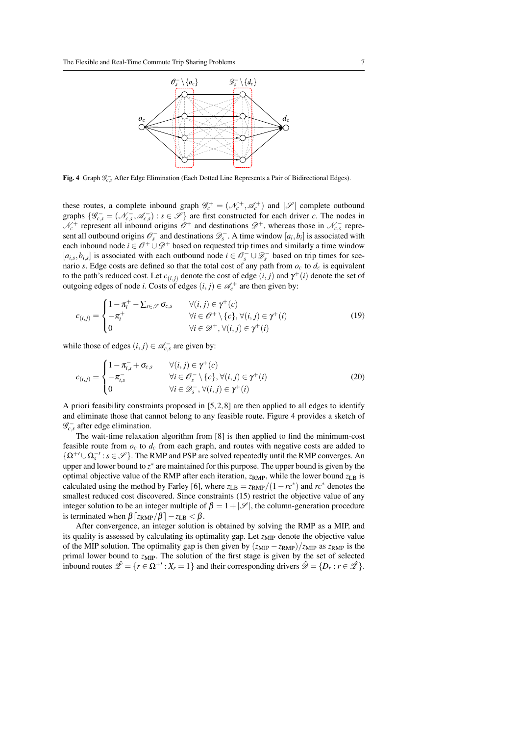

**Fig. 4** Graph  $\mathcal{G}^{-}_{c,s}$  After Edge Elimination (Each Dotted Line Represents a Pair of Bidirectional Edges).

these routes, a complete inbound graph  $\mathcal{G}_c^+ = (\mathcal{N}_c^+, \mathcal{A}_c^+)$  and  $|\mathcal{S}|$  complete outbound graphs  $\{\mathscr{G}^-_{c,s} = (\mathscr{N}^-_{c,s}, \mathscr{A}^-_{c,s}) : s \in \mathscr{S}\}\$ are first constructed for each driver *c*. The nodes in  $\mathcal{N}_c^+$  represent all inbound origins  $\mathcal{O}^+$  and destinations  $\mathcal{D}^+$ , whereas those in  $\mathcal{N}_{c,s}^-$  represent all outbound origins  $\mathcal{O}_s^-$  and destinations  $\mathcal{D}_s^-$ . A time window  $[a_i, b_i]$  is associated with each inbound node  $i \in \mathcal{O}^+ \cup \mathcal{D}^+$  based on requested trip times and similarly a time window  $[a_{i,s}, b_{i,s}]$  is associated with each outbound node  $i \in \mathcal{O}_s^- \cup \mathcal{D}_s^-$  based on trip times for scenario *s*. Edge costs are defined so that the total cost of any path from  $o_c$  to  $d_c$  is equivalent to the path's reduced cost. Let  $c_{(i,j)}$  denote the cost of edge  $(i, j)$  and  $\gamma^+(i)$  denote the set of outgoing edges of node *i*. Costs of edges  $(i, j) \in \mathcal{A}_c^+$  are then given by:

$$
c_{(i,j)} = \begin{cases} 1 - \pi_i^+ - \sum_{s \in \mathscr{S}} \sigma_{c,s} & \forall (i,j) \in \gamma^+(c) \\ -\pi_i^+ & \forall i \in \mathscr{O}^+ \setminus \{c\}, \forall (i,j) \in \gamma^+(i) \\ 0 & \forall i \in \mathscr{D}^+, \forall (i,j) \in \gamma^+(i) \end{cases}
$$
(19)

while those of edges  $(i, j) \in \mathcal{A}_{c,s}^-$  are given by:

$$
c_{(i,j)} = \begin{cases} 1 - \pi_{i,s}^- + \sigma_{c,s} & \forall (i,j) \in \gamma^+(c) \\ -\pi_{i,s}^- & \forall i \in \mathcal{O}_s^- \setminus \{c\}, \forall (i,j) \in \gamma^+(i) \\ 0 & \forall i \in \mathcal{D}_s^- , \forall (i,j) \in \gamma^+(i) \end{cases}
$$
(20)

A priori feasibility constraints proposed in [5,2,8] are then applied to all edges to identify and eliminate those that cannot belong to any feasible route. Figure 4 provides a sketch of  $\mathscr{G}^-_{c,s}$  after edge elimination.

The wait-time relaxation algorithm from [8] is then applied to find the minimum-cost feasible route from  $o_c$  to  $d_c$  from each graph, and routes with negative costs are added to {Ω+0∪Ω−0 *s* :*s* ∈ S }. The RMP and PSP are solved repeatedly until the RMP converges. An upper and lower bound to  $z^*$  are maintained for this purpose. The upper bound is given by the optimal objective value of the RMP after each iteration,  $z_{RMP}$ , while the lower bound  $z_{LR}$  is calculated using the method by Farley [6], where  $z_{LB} = \frac{z_{RMP}}{1-rc^*}$  and  $rc^*$  denotes the smallest reduced cost discovered. Since constraints (15) restrict the objective value of any integer solution to be an integer multiple of  $\beta = 1 + |\mathcal{S}|$ , the column-generation procedure is terminated when  $\beta$   $[z<sub>RMP</sub>/\beta] - z<sub>LB</sub> < \beta$ .

After convergence, an integer solution is obtained by solving the RMP as a MIP, and its quality is assessed by calculating its optimality gap. Let  $z_{\text{MIP}}$  denote the objective value of the MIP solution. The optimality gap is then given by  $(z_{\text{MIP}} - z_{\text{RMP}})/z_{\text{MIP}}$  as  $z_{\text{RMP}}$  is the primal lower bound to  $z_{\text{MIP}}$ . The solution of the first stage is given by the set of selected inbound routes  $\hat{\mathscr{Z}} = \{r \in \Omega^{+r} : X_r = 1\}$  and their corresponding drivers  $\hat{\mathscr{D}} = \{D_r : r \in \hat{\mathscr{Z}}\}\.$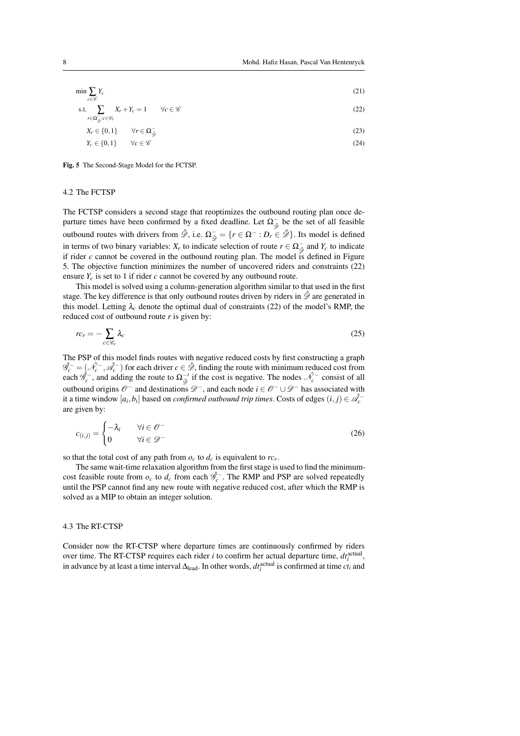$$
\min \sum_{c \in \mathscr{C}} Y_c \tag{21}
$$

s.t. 
$$
\sum X_r + Y_c = 1 \qquad \forall c \in \mathscr{C}
$$
 (22)

$$
r \in \Omega_{\mathcal{G}}^{-1} c \in \mathscr{C}_r
$$
  
\n
$$
Y \in J_0 \quad 11 \qquad \forall r \in \Omega^-
$$
 (23)

$$
Y_c \in \{0, 1\} \qquad \forall c \in \mathscr{C}
$$
\n
$$
Y_c \in \{0, 1\} \qquad \forall c \in \mathscr{C}
$$
\n
$$
(24)
$$

## Fig. 5 The Second-Stage Model for the FCTSP.

#### 4.2 The FCTSP

The FCTSP considers a second stage that reoptimizes the outbound routing plan once departure times have been confirmed by a fixed deadline. Let  $\Omega_{\hat{\mathscr{D}}}^-$  be the set of all feasible outbound routes with drivers from  $\hat{\mathcal{D}}$ , i.e.  $\Omega_{\hat{\mathcal{D}}}^- = \{r \in \Omega^- : D_r \in \hat{\mathcal{D}}\}$ . Its model is defined in terms of two binary variables:  $X_r$  to indicate selection of route  $r \in \Omega_{\hat{\phi}}^-$  and  $Y_c$  to indicate If rider *c* cannot be covered in the outbound routing plan. The model is defined in Figure 5. The objective function minimizes the number of uncovered riders and constraints (22) ensure  $Y_c$  is set to 1 if rider  $c$  cannot be covered by any outbound route.

This model is solved using a column-generation algorithm similar to that used in the first stage. The key difference is that only outbound routes driven by riders in  $\hat{\mathscr{D}}$  are generated in this model. Letting  $\lambda_c$  denote the optimal dual of constraints (22) of the model's RMP, the reduced cost of outbound route *r* is given by:

$$
rc_r = -\sum_{c \in \mathcal{C}_r} \lambda_c \tag{25}
$$

The PSP of this model finds routes with negative reduced costs by first constructing a graph  $\hat{\mathscr{G}}_c^- = (\hat{\mathscr{N}}_c^-,\hat{\mathscr{A}}_c^-)$  for each driver  $c \in \hat{\mathscr{D}}$ , finding the route with minimum reduced cost from each  $\hat{\mathscr{G}}_c^-$ , and adding the route to  $\Omega_{\hat{\mathscr{G}}}^{-1}$  if the cost is negative. The nodes  $\hat{\mathscr{N}}_c^-$  consist of all outbound origins  $\mathcal{O}^-$  and destinations  $\mathcal{D}^-$ , and each node  $i \in \mathcal{O}^- \cup \mathcal{D}^-$  has associated with it a time window  $[a_i, b_i]$  based on *confirmed outbound trip times*. Costs of edges  $(i, j) \in \mathcal{A}_c^$ are given by:

$$
c_{(i,j)} = \begin{cases} -\lambda_i & \forall i \in \mathcal{O}^- \\ 0 & \forall i \in \mathcal{D}^- \end{cases}
$$
 (26)

so that the total cost of any path from  $o_c$  to  $d_c$  is equivalent to  $rc_r$ .

The same wait-time relaxation algorithm from the first stage is used to find the minimumcost feasible route from  $o_c$  to  $d_c$  from each  $\hat{\mathcal{G}}_c^-$ . The RMP and PSP are solved repeatedly until the PSP cannot find any new route with negative reduced cost, after which the RMP is solved as a MIP to obtain an integer solution.

#### 4.3 The RT-CTSP

Consider now the RT-CTSP where departure times are continuously confirmed by riders over time. The RT-CTSP requires each rider *i* to confirm her actual departure time,  $dt_i^{\text{actual}}$ , in advance by at least a time interval  $\Delta_{\text{lead}}$ . In other words,  $dt_i^{\text{actual}}$  is confirmed at time  $ct_i$  and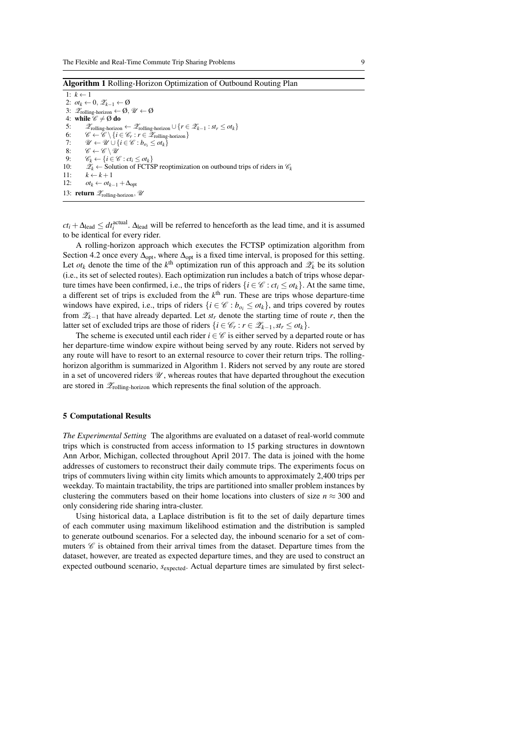Algorithm 1 Rolling-Horizon Optimization of Outbound Routing Plan

1:  $k \leftarrow 1$ 2:  $ot_k \leftarrow 0$ ,  $\mathscr{Z}_{k-1} \leftarrow \emptyset$ 3:  $\mathscr{Z}_{\text{rolling-horizon}} \leftarrow \emptyset, \mathscr{U} \leftarrow \emptyset$ 4: while  $\mathscr{C} \neq \emptyset$  do 5:  $\mathscr{Z}_{\text{rolling-horizon}} \leftarrow \mathscr{Z}_{\text{rolling-horizon}} \cup \{r \in \mathscr{Z}_{k-1} : st_r \leq ot_k\}$ 6:  $\mathscr{C} \leftarrow \mathscr{C} \setminus \{i \in \mathscr{C}_r : r \in \mathscr{Z}_{\text{rolling-horizon}}\}$ 7:  $\mathcal{U} \leftarrow \mathcal{U} \cup \{i \in \mathcal{C} : b_{o_i} \leq \sigma t_k\}$ <br>8:  $\mathcal{C} \leftarrow \mathcal{C} \setminus \mathcal{U}$ 8:  $\mathscr{C} \leftarrow \mathscr{C} \setminus \mathscr{U}$ <br>9:  $\mathscr{C}_b \leftarrow \{i \in \mathscr{C}\}$ 9:  $\mathscr{C}_k \leftarrow \{i \in \mathscr{C} : ct_i \leq ot_k\}$ <br>10:  $\mathscr{Z}_k \leftarrow$  Solution of FCTS 10:  $\hat{\mathcal{X}}_k \leftarrow$  Solution of FCTSP reoptimization on outbound trips of riders in  $\mathcal{C}_k$ <br>11:  $k \leftarrow k+1$  $k \leftarrow k + 1$ 12:  $ot_k \leftarrow ot_{k-1} + \Delta_{opt}$ 13: return  $\mathscr{Z}_{\text{rolling-horizon}}$ ,  $\mathscr{U}$ 

 $ct_i + \Delta_{\text{lead}} \leq dt_i^{\text{actual}}$ .  $\Delta_{\text{lead}}$  will be referred to henceforth as the lead time, and it is assumed to be identical for every rider.

A rolling-horizon approach which executes the FCTSP optimization algorithm from Section 4.2 once every  $\Delta_{\text{out}}$ , where  $\Delta_{\text{out}}$  is a fixed time interval, is proposed for this setting. Let  $\sigma t_k$  denote the time of the  $k^{\text{th}}$  optimization run of this approach and  $\mathscr{Z}_k$  be its solution (i.e., its set of selected routes). Each optimization run includes a batch of trips whose departure times have been confirmed, i.e., the trips of riders  $\{i \in \mathcal{C} : ct_i \leq ct_k\}$ . At the same time, a different set of trips is excluded from the  $k<sup>th</sup>$  run. These are trips whose departure-time windows have expired, i.e., trips of riders  $\{i \in \mathcal{C} : b_{o_i} \leq ot_k\}$ , and trips covered by routes from  $\mathscr{Z}_{k-1}$  that have already departed. Let  $st_r$  denote the starting time of route  $r$ , then the latter set of excluded trips are those of riders  $\{i \in \mathcal{C}_r : r \in \mathcal{Z}_{k-1}, st_r \leq ot_k\}$ .

The scheme is executed until each rider  $i \in \mathcal{C}$  is either served by a departed route or has her departure-time window expire without being served by any route. Riders not served by any route will have to resort to an external resource to cover their return trips. The rollinghorizon algorithm is summarized in Algorithm 1. Riders not served by any route are stored in a set of uncovered riders  $\mathcal{U}$ , whereas routes that have departed throughout the execution are stored in  $\mathscr{Z}_{\text{rolling-horizon}}$  which represents the final solution of the approach.

#### 5 Computational Results

*The Experimental Setting* The algorithms are evaluated on a dataset of real-world commute trips which is constructed from access information to 15 parking structures in downtown Ann Arbor, Michigan, collected throughout April 2017. The data is joined with the home addresses of customers to reconstruct their daily commute trips. The experiments focus on trips of commuters living within city limits which amounts to approximately 2,400 trips per weekday. To maintain tractability, the trips are partitioned into smaller problem instances by clustering the commuters based on their home locations into clusters of size  $n \approx 300$  and only considering ride sharing intra-cluster.

Using historical data, a Laplace distribution is fit to the set of daily departure times of each commuter using maximum likelihood estimation and the distribution is sampled to generate outbound scenarios. For a selected day, the inbound scenario for a set of commuters  $\mathscr C$  is obtained from their arrival times from the dataset. Departure times from the dataset, however, are treated as expected departure times, and they are used to construct an expected outbound scenario, *s*expected. Actual departure times are simulated by first select-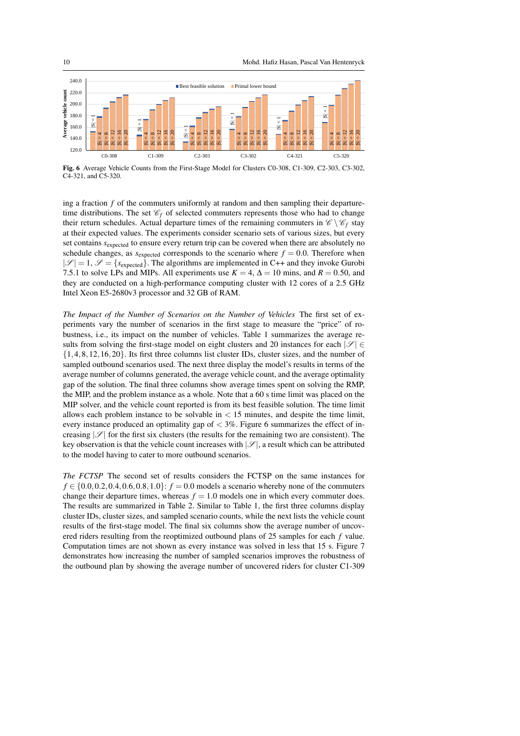



Fig. 6 Average Vehicle Counts from the First-Stage Model for Clusters C0-308, C1-309, C2-303, C3-302, C4-321, and C5-320.

ing a fraction *f* of the commuters uniformly at random and then sampling their departuretime distributions. The set  $\mathcal{C}_f$  of selected commuters represents those who had to change their return schedules. Actual departure times of the remaining commuters in  $\mathscr{C} \setminus \mathscr{C}_f$  stay at their expected values. The experiments consider scenario sets of various sizes, but every set contains *s*<sub>expected</sub> to ensure every return trip can be covered when there are absolutely no schedule changes, as  $s_{expected}$  corresponds to the scenario where  $f = 0.0$ . Therefore when  $|\mathscr{S}| = 1$ ,  $\mathscr{S} = \{s_{\text{expected}}\}\.$  The algorithms are implemented in C++ and they invoke Gurobi 7.5.1 to solve LPs and MIPs. All experiments use  $K = 4$ ,  $\Delta = 10$  mins, and  $R = 0.50$ , and they are conducted on a high-performance computing cluster with 12 cores of a 2.5 GHz Intel Xeon E5-2680v3 processor and 32 GB of RAM.

*The Impact of the Number of Scenarios on the Number of Vehicles* The first set of experiments vary the number of scenarios in the first stage to measure the "price" of robustness, i.e., its impact on the number of vehicles. Table 1 summarizes the average results from solving the first-stage model on eight clusters and 20 instances for each  $|\mathscr{S}| \in$  $\{1,4,8,12,16,20\}$ . Its first three columns list cluster IDs, cluster sizes, and the number of sampled outbound scenarios used. The next three display the model's results in terms of the average number of columns generated, the average vehicle count, and the average optimality gap of the solution. The final three columns show average times spent on solving the RMP, the MIP, and the problem instance as a whole. Note that a 60 s time limit was placed on the MIP solver, and the vehicle count reported is from its best feasible solution. The time limit allows each problem instance to be solvable in  $<$  15 minutes, and despite the time limit, every instance produced an optimality gap of  $<$  3%. Figure 6 summarizes the effect of increasing  $|\mathscr{S}|$  for the first six clusters (the results for the remaining two are consistent). The key observation is that the vehicle count increases with  $|\mathscr{S}|$ , a result which can be attributed to the model having to cater to more outbound scenarios.

*The FCTSP* The second set of results considers the FCTSP on the same instances for *f* ∈ {0.0,0.2,0.4,0.6,0.8,1.0}: *f* = 0.0 models a scenario whereby none of the commuters change their departure times, whereas  $f = 1.0$  models one in which every commuter does. The results are summarized in Table 2. Similar to Table 1, the first three columns display cluster IDs, cluster sizes, and sampled scenario counts, while the next lists the vehicle count results of the first-stage model. The final six columns show the average number of uncovered riders resulting from the reoptimized outbound plans of 25 samples for each *f* value. Computation times are not shown as every instance was solved in less that 15 s. Figure 7 demonstrates how increasing the number of sampled scenarios improves the robustness of the outbound plan by showing the average number of uncovered riders for cluster C1-309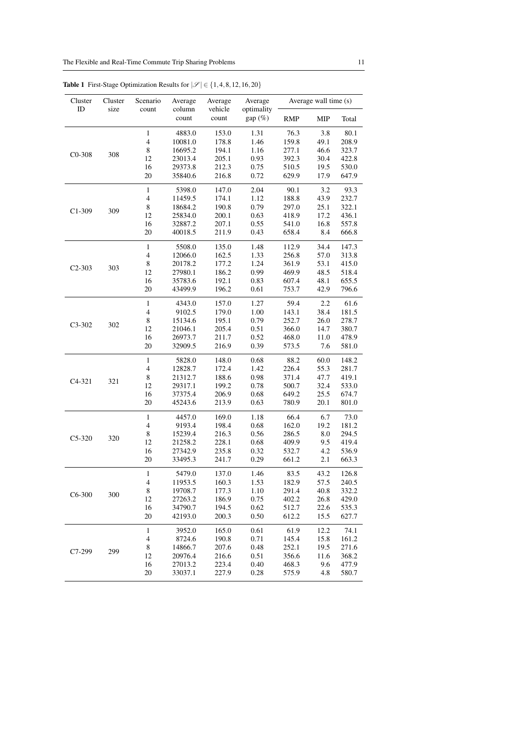| Cluster    | Cluster | Scenario                 | Average         | Average          | Average              | Average wall time (s) |      |       |  |
|------------|---------|--------------------------|-----------------|------------------|----------------------|-----------------------|------|-------|--|
| ID         | size    | count                    | column<br>count | vehicle<br>count | optimality<br>gap(%) | <b>RMP</b>            | MIP  | Total |  |
|            |         | $\mathbf{1}$             | 4883.0          | 153.0            | 1.31                 | 76.3                  | 3.8  | 80.1  |  |
|            | 308     | $\overline{4}$           | 10081.0         | 178.8            | 1.46                 | 159.8                 | 49.1 | 208.9 |  |
| $CO-308$   |         | $\,$ 8 $\,$              | 16695.2         | 194.1            | 1.16                 | 277.1                 | 46.6 | 323.7 |  |
|            |         | 12                       | 23013.4         | 205.1            | 0.93                 | 392.3                 | 30.4 | 422.8 |  |
|            |         | 16                       | 29373.8         | 212.3            | 0.75                 | 510.5                 | 19.5 | 530.0 |  |
|            |         | 20                       | 35840.6         | 216.8            | 0.72                 | 629.9                 | 17.9 | 647.9 |  |
|            |         | $\mathbf{1}$             | 5398.0          | 147.0            | 2.04                 | 90.1                  | 3.2  | 93.3  |  |
|            |         | $\overline{4}$           | 11459.5         | 174.1            | 1.12                 | 188.8                 | 43.9 | 232.7 |  |
| $C1-309$   | 309     | 8                        | 18684.2         | 190.8            | 0.79                 | 297.0                 | 25.1 | 322.1 |  |
|            |         | 12                       | 25834.0         | 200.1            | 0.63                 | 418.9                 | 17.2 | 436.1 |  |
|            |         | 16                       | 32887.2         | 207.1            | 0.55                 | 541.0                 | 16.8 | 557.8 |  |
|            |         | 20                       | 40018.5         | 211.9            | 0.43                 | 658.4                 | 8.4  | 666.8 |  |
|            |         | $\mathbf{1}$             | 5508.0          | 135.0            | 1.48                 | 112.9                 | 34.4 | 147.3 |  |
|            |         | $\overline{4}$           | 12066.0         | 162.5            | 1.33                 | 256.8                 | 57.0 | 313.8 |  |
| $C2 - 303$ | 303     | 8                        | 20178.2         | 177.2            | 1.24                 | 361.9                 | 53.1 | 415.0 |  |
|            |         | 12                       | 27980.1         | 186.2            | 0.99                 | 469.9                 | 48.5 | 518.4 |  |
|            |         | 16                       | 35783.6         | 192.1            | 0.83                 | 607.4                 | 48.1 | 655.5 |  |
|            |         | 20                       | 43499.9         | 196.2            | 0.61                 | 753.7                 | 42.9 | 796.6 |  |
|            |         | $\mathbf{1}$             | 4343.0          | 157.0            | 1.27                 | 59.4                  | 2.2  | 61.6  |  |
|            | 302     | $\overline{4}$           | 9102.5          | 179.0            | 1.00                 | 143.1                 | 38.4 | 181.5 |  |
| $C3-302$   |         | 8                        | 15134.6         | 195.1            | 0.79                 | 252.7                 | 26.0 | 278.7 |  |
|            |         | 12                       | 21046.1         | 205.4            | 0.51                 | 366.0                 | 14.7 | 380.7 |  |
|            |         | 16                       | 26973.7         | 211.7            | 0.52                 | 468.0                 | 11.0 | 478.9 |  |
|            |         | 20                       | 32909.5         | 216.9            | 0.39                 | 573.5                 | 7.6  | 581.0 |  |
|            |         | $\mathbf{1}$             | 5828.0          | 148.0            | 0.68                 | 88.2                  | 60.0 | 148.2 |  |
|            |         | $\overline{4}$           | 12828.7         | 172.4            | 1.42                 | 226.4                 | 55.3 | 281.7 |  |
| $C4-321$   | 321     | 8                        | 21312.7         | 188.6            | 0.98                 | 371.4                 | 47.7 | 419.1 |  |
|            |         | 12                       | 29317.1         | 199.2            | 0.78                 | 500.7                 | 32.4 | 533.0 |  |
|            |         | 16                       | 37375.4         | 206.9            | 0.68                 | 649.2                 | 25.5 | 674.7 |  |
|            |         | 20                       | 45243.6         | 213.9            | 0.63                 | 780.9                 | 20.1 | 801.0 |  |
|            |         | $\mathbf{1}$             | 4457.0          | 169.0            | 1.18                 | 66.4                  | 6.7  | 73.0  |  |
|            |         | $\overline{4}$           | 9193.4          | 198.4            | 0.68                 | 162.0                 | 19.2 | 181.2 |  |
| $C5-320$   | 320     | 8                        | 15239.4         | 216.3            | 0.56                 | 286.5                 | 8.0  | 294.5 |  |
|            |         | 12                       | 21258.2         | 228.1            | 0.68                 | 409.9                 | 9.5  | 419.4 |  |
|            |         | 16                       | 27342.9         | 235.8            | 0.32                 | 532.7                 | 4.2  | 536.9 |  |
|            |         | 20                       | 33495.3         | 241.7            | 0.29                 | 661.2                 | 2.1  | 663.3 |  |
|            |         | 1                        | 5479.0          | 137.0            | 1.46                 | 83.5                  | 43.2 | 126.8 |  |
|            |         | $\overline{4}$           | 11953.5         | 160.3            | 1.53                 | 182.9                 | 57.5 | 240.5 |  |
| $C6-300$   | 300     | 8                        | 19708.7         | 177.3            | 1.10                 | 291.4                 | 40.8 | 332.2 |  |
|            |         | 12                       | 27263.2         | 186.9            | 0.75                 | 402.2                 | 26.8 | 429.0 |  |
|            |         | 16                       | 34790.7         | 194.5            | 0.62                 | 512.7                 | 22.6 | 535.3 |  |
|            |         | 20                       | 42193.0         | 200.3            | 0.50                 | 612.2                 | 15.5 | 627.7 |  |
|            |         | $\mathbf{1}$             | 3952.0          | 165.0            | 0.61                 | 61.9                  | 12.2 | 74.1  |  |
|            |         | $\overline{\mathcal{A}}$ | 8724.6          | 190.8            | 0.71                 | 145.4                 | 15.8 | 161.2 |  |
| C7-299     | 299     | 8                        | 14866.7         | 207.6            | 0.48                 | 252.1                 | 19.5 | 271.6 |  |
|            |         | 12                       | 20976.4         | 216.6            | 0.51                 | 356.6                 | 11.6 | 368.2 |  |
|            |         | 16                       | 27013.2         | 223.4            | 0.40                 | 468.3                 | 9.6  | 477.9 |  |
|            |         | 20                       | 33037.1         | 227.9            | 0.28                 | 575.9                 | 4.8  | 580.7 |  |

Table 1 First-Stage Optimization Results for  $|\mathscr{S}| \in \{1,4,8,12,16,20\}$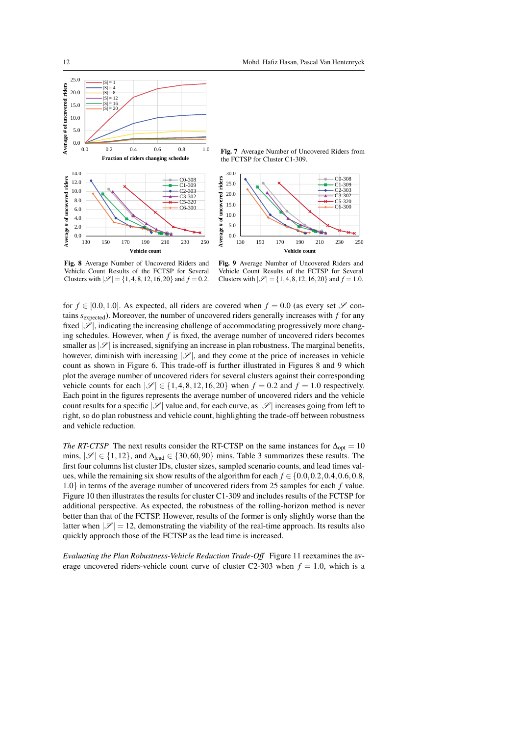

Fig. 7 Average Number of Uncovered Riders from the FCTSP for Cluster C1-309.



Fig. 8 Average Number of Uncovered Riders and Vehicle Count Results of the FCTSP for Several Clusters with  $|\mathcal{S}| = \{1, 4, 8, 12, 16, 20\}$  and  $f = 0.2$ .

Fig. 9 Average Number of Uncovered Riders and Vehicle Count Results of the FCTSP for Several Clusters with  $|\mathcal{S}| = \{1, 4, 8, 12, 16, 20\}$  and  $f = 1.0$ .

for  $f \in [0.0, 1.0]$ . As expected, all riders are covered when  $f = 0.0$  (as every set  $\mathscr S$  contains  $s_{\text{expected}}$ ). Moreover, the number of uncovered riders generally increases with  $f$  for any fixed  $|\mathscr{S}|$ , indicating the increasing challenge of accommodating progressively more changing schedules. However, when *f* is fixed, the average number of uncovered riders becomes smaller as  $|\mathscr{S}|$  is increased, signifying an increase in plan robustness. The marginal benefits, however, diminish with increasing  $|\mathcal{S}|$ , and they come at the price of increases in vehicle count as shown in Figure 6. This trade-off is further illustrated in Figures 8 and 9 which plot the average number of uncovered riders for several clusters against their corresponding vehicle counts for each  $|\mathscr{S}| \in \{1, 4, 8, 12, 16, 20\}$  when  $f = 0.2$  and  $f = 1.0$  respectively. Each point in the figures represents the average number of uncovered riders and the vehicle count results for a specific  $|\mathscr{S}|$  value and, for each curve, as  $|\mathscr{S}|$  increases going from left to right, so do plan robustness and vehicle count, highlighting the trade-off between robustness and vehicle reduction.

*The RT-CTSP* The next results consider the RT-CTSP on the same instances for  $\Delta_{opt} = 10$ mins,  $|\mathscr{S}| \in \{1, 12\}$ , and  $\Delta_{\text{lead}} \in \{30, 60, 90\}$  mins. Table 3 summarizes these results. The first four columns list cluster IDs, cluster sizes, sampled scenario counts, and lead times values, while the remaining six show results of the algorithm for each  $f \in \{0.0, 0.2, 0.4, 0.6, 0.8, \ldots\}$ 1.0} in terms of the average number of uncovered riders from 25 samples for each *f* value. Figure 10 then illustrates the results for cluster C1-309 and includes results of the FCTSP for additional perspective. As expected, the robustness of the rolling-horizon method is never better than that of the FCTSP. However, results of the former is only slightly worse than the latter when  $|\mathscr{S}| = 12$ , demonstrating the viability of the real-time approach. Its results also quickly approach those of the FCTSP as the lead time is increased.

*Evaluating the Plan Robustness-Vehicle Reduction Trade-Off* Figure 11 reexamines the average uncovered riders-vehicle count curve of cluster  $C2-303$  when  $f = 1.0$ , which is a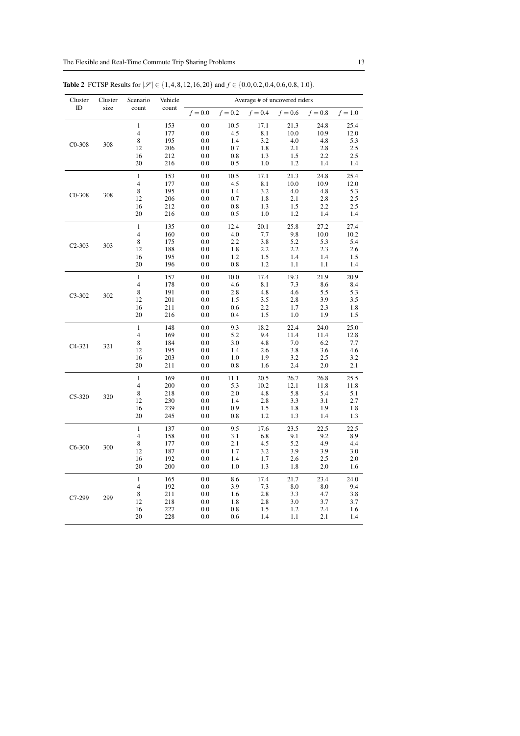| Cluster    | Cluster | Scenario                                                        | Vehicle                                | Average # of uncovered riders          |                                         |                                          |                                          |                                          |                                          |
|------------|---------|-----------------------------------------------------------------|----------------------------------------|----------------------------------------|-----------------------------------------|------------------------------------------|------------------------------------------|------------------------------------------|------------------------------------------|
| ID         | size    | count                                                           | count                                  | $f = 0.0$                              | $f = 0.2$                               | $f = 0.4$                                | $f = 0.6$                                | $f = 0.8$                                | $f = 1.0$                                |
| $CO-308$   | 308     | $\mathbf{1}$<br>$\overline{\mathbf{4}}$<br>8<br>12<br>16        | 153<br>177<br>195<br>206<br>212        | 0.0<br>0.0<br>0.0<br>0.0<br>0.0        | 10.5<br>4.5<br>1.4<br>0.7<br>0.8        | 17.1<br>8.1<br>3.2<br>1.8<br>1.3         | 21.3<br>10.0<br>4.0<br>2.1<br>1.5        | 24.8<br>10.9<br>4.8<br>2.8<br>2.2        | 25.4<br>12.0<br>5.3<br>2.5<br>2.5        |
|            |         | 20                                                              | 216                                    | 0.0                                    | 0.5                                     | 1.0                                      | 1.2                                      | 1.4                                      | 1.4                                      |
| $CO-308$   | 308     | $\mathbf{1}$<br>$\overline{4}$<br>8<br>12<br>16<br>20           | 153<br>177<br>195<br>206<br>212<br>216 | 0.0<br>0.0<br>0.0<br>0.0<br>0.0<br>0.0 | 10.5<br>4.5<br>1.4<br>0.7<br>0.8<br>0.5 | 17.1<br>8.1<br>3.2<br>1.8<br>1.3<br>1.0  | 21.3<br>10.0<br>4.0<br>2.1<br>1.5<br>1.2 | 24.8<br>10.9<br>4.8<br>2.8<br>2.2<br>1.4 | 25.4<br>12.0<br>5.3<br>2.5<br>2.5<br>1.4 |
| $C2 - 303$ | 303     | $\mathbf{1}$<br>$\overline{4}$<br>$\,$ 8 $\,$<br>12<br>16<br>20 | 135<br>160<br>175<br>188<br>195<br>196 | 0.0<br>0.0<br>0.0<br>0.0<br>0.0<br>0.0 | 12.4<br>4.0<br>2.2<br>1.8<br>1.2<br>0.8 | 20.1<br>7.7<br>3.8<br>2.2<br>1.5<br>1.2  | 25.8<br>9.8<br>5.2<br>2.2<br>1.4<br>1.1  | 27.2<br>10.0<br>5.3<br>2.3<br>1.4<br>1.1 | 27.4<br>10.2<br>5.4<br>2.6<br>1.5<br>1.4 |
| C3-302     | 302     | $\mathbf{1}$<br>$\overline{4}$<br>8<br>12<br>16<br>20           | 157<br>178<br>191<br>201<br>211<br>216 | 0.0<br>0.0<br>0.0<br>0.0<br>0.0<br>0.0 | 10.0<br>4.6<br>2.8<br>1.5<br>0.6<br>0.4 | 17.4<br>8.1<br>4.8<br>3.5<br>2.2<br>1.5  | 19.3<br>7.3<br>4.6<br>2.8<br>1.7<br>1.0  | 21.9<br>8.6<br>5.5<br>3.9<br>2.3<br>1.9  | 20.9<br>8.4<br>5.3<br>3.5<br>1.8<br>1.5  |
| $C4-321$   | 321     | $\mathbf{1}$<br>$\overline{4}$<br>8<br>12<br>16<br>20           | 148<br>169<br>184<br>195<br>203<br>211 | 0.0<br>0.0<br>0.0<br>0.0<br>0.0<br>0.0 | 9.3<br>5.2<br>3.0<br>1.4<br>1.0<br>0.8  | 18.2<br>9.4<br>4.8<br>2.6<br>1.9<br>1.6  | 22.4<br>11.4<br>7.0<br>3.8<br>3.2<br>2.4 | 24.0<br>11.4<br>6.2<br>3.6<br>2.5<br>2.0 | 25.0<br>12.8<br>7.7<br>4.6<br>3.2<br>2.1 |
| $C5-320$   | 320     | $\mathbf{1}$<br>$\overline{\mathbf{4}}$<br>8<br>12<br>16<br>20  | 169<br>200<br>218<br>230<br>239<br>245 | 0.0<br>0.0<br>0.0<br>0.0<br>0.0<br>0.0 | 11.1<br>5.3<br>2.0<br>1.4<br>0.9<br>0.8 | 20.5<br>10.2<br>4.8<br>2.8<br>1.5<br>1.2 | 26.7<br>12.1<br>5.8<br>3.3<br>1.8<br>1.3 | 26.8<br>11.8<br>5.4<br>3.1<br>1.9<br>1.4 | 25.5<br>11.8<br>5.1<br>2.7<br>1.8<br>1.3 |
| $C6-300$   | 300     | $\mathbf{1}$<br>$\overline{4}$<br>8<br>12<br>16<br>20           | 137<br>158<br>177<br>187<br>192<br>200 | 0.0<br>0.0<br>0.0<br>0.0<br>0.0<br>0.0 | 9.5<br>3.1<br>2.1<br>1.7<br>1.4<br>1.0  | 17.6<br>6.8<br>4.5<br>3.2<br>1.7<br>1.3  | 23.5<br>9.1<br>5.2<br>3.9<br>2.6<br>1.8  | 22.5<br>9.2<br>4.9<br>3.9<br>2.5<br>2.0  | 22.5<br>8.9<br>4.4<br>3.0<br>2.0<br>1.6  |
| C7-299     | 299     | $\mathbf{1}$<br>$\overline{4}$<br>8<br>12<br>16<br>20           | 165<br>192<br>211<br>218<br>227<br>228 | 0.0<br>0.0<br>0.0<br>0.0<br>0.0<br>0.0 | 8.6<br>3.9<br>1.6<br>1.8<br>0.8<br>0.6  | 17.4<br>7.3<br>2.8<br>2.8<br>1.5<br>1.4  | 21.7<br>8.0<br>3.3<br>3.0<br>1.2<br>1.1  | 23.4<br>8.0<br>4.7<br>3.7<br>2.4<br>2.1  | 24.0<br>9.4<br>3.8<br>3.7<br>1.6<br>1.4  |

**Table 2** FCTSP Results for  $|\mathcal{S}|$  ∈ {1,4,8,12,16,20} and *f* ∈ {0.0,0.2,0.4,0.6,0.8, 1.0}.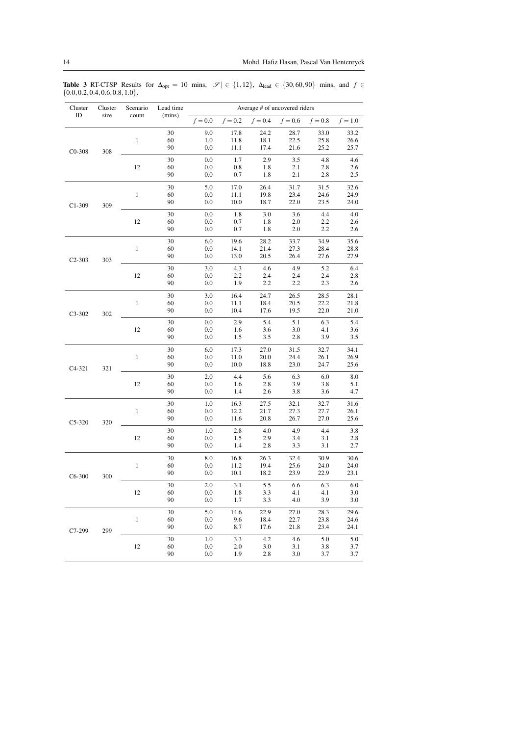|                                     |  |  |  |  | <b>Table 3</b> RT-CTSP Results for $\Delta_{opt} = 10$ mins, $ \mathcal{S}  \in \{1, 12\}$ , $\Delta_{lead} \in \{30, 60, 90\}$ mins, and $f \in$ |  |  |
|-------------------------------------|--|--|--|--|---------------------------------------------------------------------------------------------------------------------------------------------------|--|--|
| $\{0.0, 0.2, 0.4, 0.6, 0.8, 1.0\}.$ |  |  |  |  |                                                                                                                                                   |  |  |

| Cluster    | Cluster | Scenario     | Lead time | Average # of uncovered riders |              |              |              |              |              |      |
|------------|---------|--------------|-----------|-------------------------------|--------------|--------------|--------------|--------------|--------------|------|
| ID         | size    | count        | (mins)    | $f = 0.0$                     | $f = 0.2$    | $f = 0.4$    | $f = 0.6$    | $f = 0.8$    | $f = 1.0$    |      |
| $CO-308$   |         |              | 30        | 9.0                           | 17.8         | 24.2         | 28.7         | 33.0         | 33.2         |      |
|            |         | $\mathbf{1}$ | 60        | 1.0                           | 11.8         | 18.1         | 22.5         | 25.8         | 26.6         |      |
|            | 308     |              | 90        | 0.0                           | 11.1         | 17.4         | 21.6         | 25.2         | 25.7         |      |
|            |         |              | 30        | 0.0                           | 1.7          | 2.9          | 3.5          | 4.8          | 4.6          |      |
|            |         | 12           | 60        | 0.0                           | 0.8          | 1.8          | 2.1          | 2.8          | 2.6          |      |
|            |         |              | 90        | 0.0                           | 0.7          | 1.8          | 2.1          | 2.8          | 2.5          |      |
|            |         |              | 30        | 5.0                           | 17.0         | 26.4         | 31.7         | 31.5         | 32.6         |      |
|            |         | $\mathbf{1}$ | 60        | 0.0                           | 11.1         | 19.8         | 23.4         | 24.6         | 24.9         |      |
| $C1-309$   | 309     |              | 90        | 0.0                           | 10.0         | 18.7         | 22.0         | 23.5         | 24.0         |      |
|            |         |              | 30        | 0.0                           | 1.8          | 3.0          | 3.6          | 4.4          | 4.0          |      |
|            |         | 12           | 60        | 0.0                           | 0.7          | 1.8          | 2.0          | 2.2          | 2.6          |      |
|            |         |              | 90        | 0.0                           | 0.7          | 1.8          | 2.0          | 2.2          | 2.6          |      |
|            |         |              | 30        | 6.0                           | 19.6         | 28.2         | 33.7         | 34.9         | 35.6         |      |
|            |         | $\mathbf{1}$ | 60        | 0.0                           | 14.1         | 21.4         | 27.3         | 28.4         | 28.8         |      |
| $C2 - 303$ | 303     |              | 90        | 0.0                           | 13.0         | 20.5         | 26.4         | 27.6         | 27.9         |      |
|            |         |              | 30        | 3.0                           | 4.3          | 4.6          | 4.9          | 5.2          | 6.4          |      |
|            |         | 12           | 60        | 0.0                           | 2.2          | 2.4          | 2.4          | 2.4          | 2.8          |      |
|            |         |              | 90        | 0.0                           | 1.9          | 2.2          | 2.2          | 2.3          | 2.6          |      |
|            | 302     |              | 30        | 3.0                           | 16.4         | 24.7         | 26.5         | 28.5         | 28.1         |      |
| $C3 - 302$ |         | 1            | 60        | 0.0                           | 11.1         | 18.4         | 20.5         | 22.2         | 21.8         |      |
|            |         |              | 90        | 0.0                           | 10.4         | 17.6         | 19.5         | 22.0         | 21.0         |      |
|            |         |              | 30        | 0.0                           | 2.9          | 5.4          | 5.1          | 6.3          | 5.4          |      |
|            |         | 12           | 60        | 0.0                           | 1.6          | 3.6          | 3.0          | 4.1          | 3.6          |      |
|            |         |              | 90        | 0.0                           | 1.5          | 3.5          | 2.8          | 3.9          | 3.5          |      |
|            |         |              | 30        | 6.0                           | 17.3         | 27.0         | 31.5         | 32.7         | 34.1         |      |
|            |         | $\mathbf{1}$ | 60<br>90  | 0.0<br>0.0                    | 11.0<br>10.0 | 20.0<br>18.8 | 24.4<br>23.0 | 26.1<br>24.7 | 26.9<br>25.6 |      |
| $C4-321$   | 321     |              |           |                               |              |              |              |              |              |      |
|            |         |              | 30        | 2.0                           | 4.4          | 5.6          | 6.3          | 6.0          | 8.0          |      |
|            |         | 12           | 60<br>90  | 0.0<br>0.0                    | 1.6<br>1.4   | 2.8<br>2.6   | 3.9<br>3.8   | 3.8<br>3.6   | 5.1<br>4.7   |      |
|            |         |              |           |                               |              |              |              |              |              |      |
|            |         | $\mathbf{1}$ | 30<br>60  | 1.0<br>0.0                    | 16.3<br>12.2 | 27.5<br>21.7 | 32.1<br>27.3 | 32.7<br>27.7 | 31.6<br>26.1 |      |
|            |         |              |           | 90                            | 0.0          | 11.6         | 20.8         | 26.7         | 27.0         | 25.6 |
| $C5-320$   | 320     |              |           |                               |              |              |              |              |              |      |
|            |         | 12           | 30<br>60  | 1.0<br>0.0                    | 2.8<br>1.5   | 4.0<br>2.9   | 4.9<br>3.4   | 4.4<br>3.1   | 3.8<br>2.8   |      |
|            |         |              | 90        | 0.0                           | 1.4          | 2.8          | 3.3          | 3.1          | 2.7          |      |
|            |         |              |           |                               |              |              |              |              |              |      |
|            |         |              | 30<br>60  | 8.0<br>0.0                    | 16.8<br>11.2 | 26.3<br>19.4 | 32.4<br>25.6 | 30.9<br>24.0 | 30.6<br>24.0 |      |
|            |         | $\mathbf{1}$ | 90        | 0.0                           | 10.1         | 18.2         | 23.9         | 22.9         | 23.1         |      |
| $C6-300$   | 300     |              |           |                               |              |              |              |              |              |      |
|            |         | 12           | 30<br>60  | 2.0<br>$0.0\,$                | 3.1<br>1.8   | 5.5<br>3.3   | 6.6<br>4.1   | 6.3<br>4.1   | 6.0<br>3.0   |      |
|            |         |              | 90        | 0.0                           | 1.7          | 3.3          | 4.0          | 3.9          | 3.0          |      |
|            |         |              | 30        | 5.0                           | 14.6         | 22.9         | 27.0         | 28.3         | 29.6         |      |
|            |         | $\mathbf{1}$ | 60        | 0.0                           | 9.6          | 18.4         | 22.7         | 23.8         | 24.6         |      |
| C7-299     | 299     |              | 90        | 0.0                           | 8.7          | 17.6         | 21.8         | 23.4         | 24.1         |      |
|            |         |              | 30        | 1.0                           | 3.3          | 4.2          | 4.6          | 5.0          | 5.0          |      |
|            |         | $12\,$       | 60        | $0.0\,$                       | $2.0\,$      | 3.0          | 3.1          | 3.8          | 3.7          |      |
|            |         |              |           |                               | 90           | 0.0          | 1.9          | 2.8          | 3.0          | 3.7  |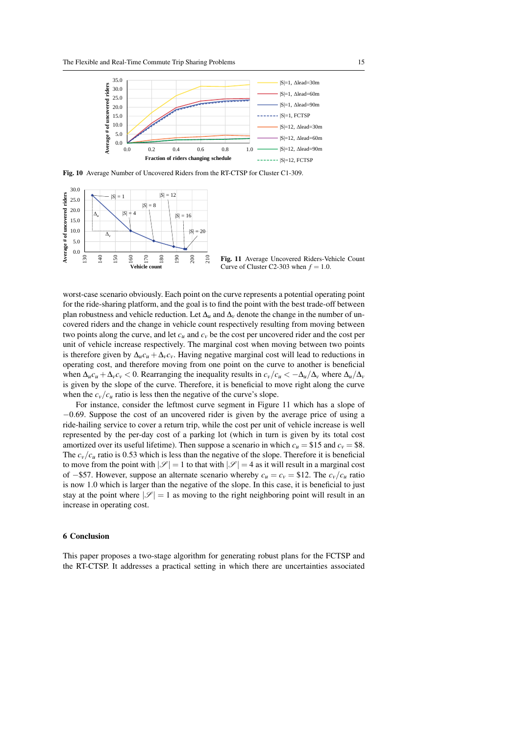

Fig. 10 Average Number of Uncovered Riders from the RT-CTSP for Cluster C1-309.



worst-case scenario obviously. Each point on the curve represents a potential operating point for the ride-sharing platform, and the goal is to find the point with the best trade-off between plan robustness and vehicle reduction. Let  $\Delta_u$  and  $\Delta_v$  denote the change in the number of uncovered riders and the change in vehicle count respectively resulting from moving between two points along the curve, and let  $c<sub>u</sub>$  and  $c<sub>v</sub>$  be the cost per uncovered rider and the cost per unit of vehicle increase respectively. The marginal cost when moving between two points is therefore given by  $\Delta_u c_u + \Delta_v c_v$ . Having negative marginal cost will lead to reductions in operating cost, and therefore moving from one point on the curve to another is beneficial when  $\Delta_u c_u + \Delta_v c_v < 0$ . Rearranging the inequality results in  $c_v/c_u < -\Delta_u/\Delta_v$  where  $\Delta_u/\Delta_v$ is given by the slope of the curve. Therefore, it is beneficial to move right along the curve when the  $c_v/c_u$  ratio is less then the negative of the curve's slope.

For instance, consider the leftmost curve segment in Figure 11 which has a slope of −0.69. Suppose the cost of an uncovered rider is given by the average price of using a ride-hailing service to cover a return trip, while the cost per unit of vehicle increase is well represented by the per-day cost of a parking lot (which in turn is given by its total cost amortized over its useful lifetime). Then suppose a scenario in which  $c_u = $15$  and  $c_v = $8$ . The  $c_v/c_u$  ratio is 0.53 which is less than the negative of the slope. Therefore it is beneficial to move from the point with  $|\mathscr{S}| = 1$  to that with  $|\mathscr{S}| = 4$  as it will result in a marginal cost of −\$57. However, suppose an alternate scenario whereby  $c_u = c_v = $12$ . The  $c_v/c_u$  ratio is now 1.0 which is larger than the negative of the slope. In this case, it is beneficial to just stay at the point where  $|\mathscr{S}| = 1$  as moving to the right neighboring point will result in an increase in operating cost.

#### 6 Conclusion

This paper proposes a two-stage algorithm for generating robust plans for the FCTSP and the RT-CTSP. It addresses a practical setting in which there are uncertainties associated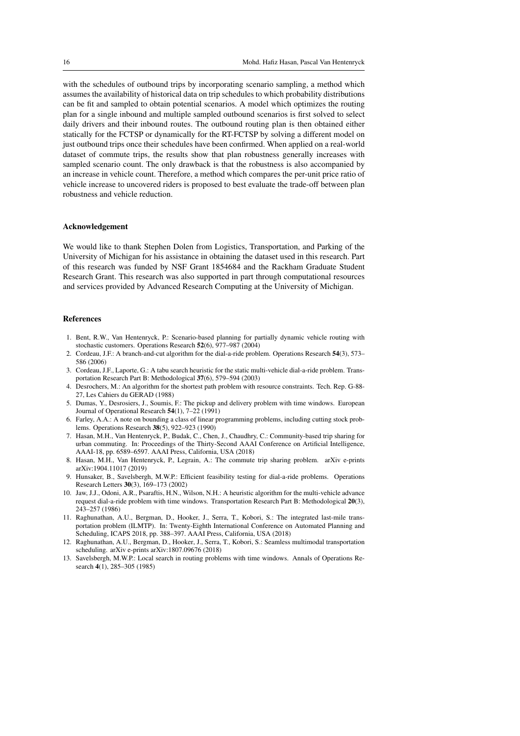with the schedules of outbound trips by incorporating scenario sampling, a method which assumes the availability of historical data on trip schedules to which probability distributions can be fit and sampled to obtain potential scenarios. A model which optimizes the routing plan for a single inbound and multiple sampled outbound scenarios is first solved to select daily drivers and their inbound routes. The outbound routing plan is then obtained either statically for the FCTSP or dynamically for the RT-FCTSP by solving a different model on just outbound trips once their schedules have been confirmed. When applied on a real-world dataset of commute trips, the results show that plan robustness generally increases with sampled scenario count. The only drawback is that the robustness is also accompanied by an increase in vehicle count. Therefore, a method which compares the per-unit price ratio of vehicle increase to uncovered riders is proposed to best evaluate the trade-off between plan robustness and vehicle reduction.

#### Acknowledgement

We would like to thank Stephen Dolen from Logistics, Transportation, and Parking of the University of Michigan for his assistance in obtaining the dataset used in this research. Part of this research was funded by NSF Grant 1854684 and the Rackham Graduate Student Research Grant. This research was also supported in part through computational resources and services provided by Advanced Research Computing at the University of Michigan.

#### References

- 1. Bent, R.W., Van Hentenryck, P.: Scenario-based planning for partially dynamic vehicle routing with stochastic customers. Operations Research 52(6), 977–987 (2004)
- 2. Cordeau, J.F.: A branch-and-cut algorithm for the dial-a-ride problem. Operations Research 54(3), 573– 586 (2006)
- 3. Cordeau, J.F., Laporte, G.: A tabu search heuristic for the static multi-vehicle dial-a-ride problem. Transportation Research Part B: Methodological 37(6), 579–594 (2003)
- 4. Desrochers, M.: An algorithm for the shortest path problem with resource constraints. Tech. Rep. G-88- 27, Les Cahiers du GERAD (1988)
- 5. Dumas, Y., Desrosiers, J., Soumis, F.: The pickup and delivery problem with time windows. European Journal of Operational Research 54(1), 7–22 (1991)
- 6. Farley, A.A.: A note on bounding a class of linear programming problems, including cutting stock problems. Operations Research 38(5), 922–923 (1990)
- 7. Hasan, M.H., Van Hentenryck, P., Budak, C., Chen, J., Chaudhry, C.: Community-based trip sharing for urban commuting. In: Proceedings of the Thirty-Second AAAI Conference on Artificial Intelligence, AAAI-18, pp. 6589–6597. AAAI Press, California, USA (2018)
- 8. Hasan, M.H., Van Hentenryck, P., Legrain, A.: The commute trip sharing problem. arXiv e-prints arXiv:1904.11017 (2019)
- 9. Hunsaker, B., Savelsbergh, M.W.P.: Efficient feasibility testing for dial-a-ride problems. Operations Research Letters 30(3), 169–173 (2002)
- 10. Jaw, J.J., Odoni, A.R., Psaraftis, H.N., Wilson, N.H.: A heuristic algorithm for the multi-vehicle advance request dial-a-ride problem with time windows. Transportation Research Part B: Methodological 20(3), 243–257 (1986)
- 11. Raghunathan, A.U., Bergman, D., Hooker, J., Serra, T., Kobori, S.: The integrated last-mile transportation problem (ILMTP). In: Twenty-Eighth International Conference on Automated Planning and Scheduling, ICAPS 2018, pp. 388–397. AAAI Press, California, USA (2018)
- 12. Raghunathan, A.U., Bergman, D., Hooker, J., Serra, T., Kobori, S.: Seamless multimodal transportation scheduling. arXiv e-prints arXiv:1807.09676 (2018)
- 13. Savelsbergh, M.W.P.: Local search in routing problems with time windows. Annals of Operations Research 4(1), 285–305 (1985)